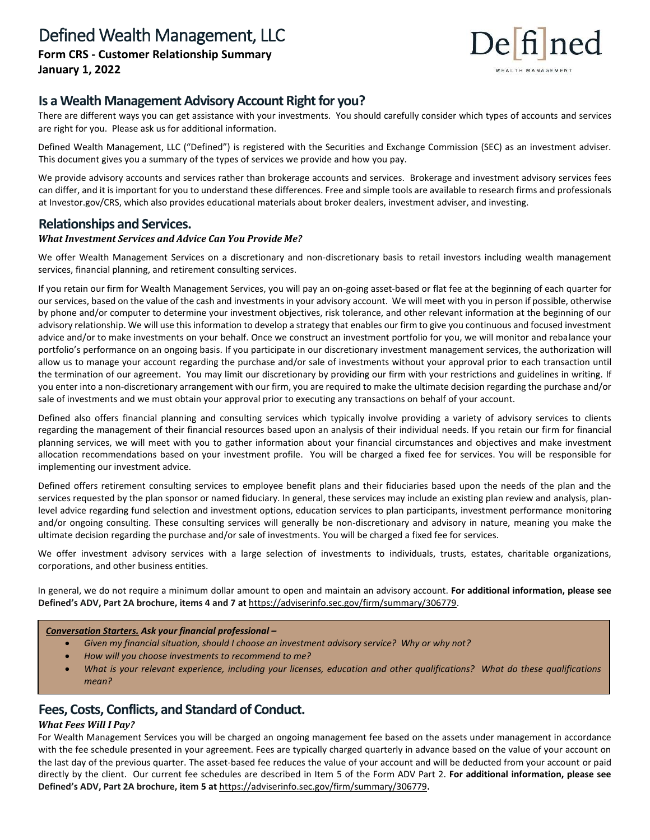

# **Is a Wealth Management Advisory Account Right for you?**

There are different ways you can get assistance with your investments. You should carefully consider which types of accounts and services are right for you. Please ask us for additional information.

Defined Wealth Management, LLC ("Defined") is registered with the Securities and Exchange Commission (SEC) as an investment adviser. This document gives you a summary of the types of services we provide and how you pay.

We provide advisory accounts and services rather than brokerage accounts and services. Brokerage and investment advisory services fees can differ, and it is important for you to understand these differences. Free and simple tools are available to research firms and professionals at Investor.gov/CRS, which also provides educational materials about broker dealers, investment adviser, and investing.

# **Relationships and Services.**

### *What Investment Services and Advice Can You Provide Me?*

We offer Wealth Management Services on a discretionary and non-discretionary basis to retail investors including wealth management services, financial planning, and retirement consulting services.

If you retain our firm for Wealth Management Services, you will pay an on-going asset-based or flat fee at the beginning of each quarter for our services, based on the value of the cash and investments in your advisory account. We will meet with you in person if possible, otherwise by phone and/or computer to determine your investment objectives, risk tolerance, and other relevant information at the beginning of our advisory relationship. We will use this information to develop a strategy that enables our firm to give you continuous and focused investment advice and/or to make investments on your behalf. Once we construct an investment portfolio for you, we will monitor and rebalance your portfolio's performance on an ongoing basis. If you participate in our discretionary investment management services, the authorization will allow us to manage your account regarding the purchase and/or sale of investments without your approval prior to each transaction until the termination of our agreement. You may limit our discretionary by providing our firm with your restrictions and guidelines in writing. If you enter into a non-discretionary arrangement with our firm, you are required to make the ultimate decision regarding the purchase and/or sale of investments and we must obtain your approval prior to executing any transactions on behalf of your account.

Defined also offers financial planning and consulting services which typically involve providing a variety of advisory services to clients regarding the management of their financial resources based upon an analysis of their individual needs. If you retain our firm for financial planning services, we will meet with you to gather information about your financial circumstances and objectives and make investment allocation recommendations based on your investment profile. You will be charged a fixed fee for services. You will be responsible for implementing our investment advice.

Defined offers retirement consulting services to employee benefit plans and their fiduciaries based upon the needs of the plan and the services requested by the plan sponsor or named fiduciary. In general, these services may include an existing plan review and analysis, planlevel advice regarding fund selection and investment options, education services to plan participants, investment performance monitoring and/or ongoing consulting. These consulting services will generally be non-discretionary and advisory in nature, meaning you make the ultimate decision regarding the purchase and/or sale of investments. You will be charged a fixed fee for services.

We offer investment advisory services with a large selection of investments to individuals, trusts, estates, charitable organizations, corporations, and other business entities.

In general, we do not require a minimum dollar amount to open and maintain an advisory account. **For additional information, please see Defined's ADV, Part 2A brochure, items 4 and 7 at** [https://adviserinfo.sec.gov/firm/summary/306779.](https://adviserinfo.sec.gov/firm/summary/306779)

#### *Conversation Starters. Ask your financial professional –*

- *Given my financial situation, should I choose an investment advisory service? Why or why not?*
- *How will you choose investments to recommend to me?*
- *What is your relevant experience, including your licenses, education and other qualifications? What do these qualifications mean?*

# **Fees, Costs, Conflicts, and Standard of Conduct.**

### *What Fees Will I Pay?*

For Wealth Management Services you will be charged an ongoing management fee based on the assets under management in accordance with the fee schedule presented in your agreement. Fees are typically charged quarterly in advance based on the value of your account on the last day of the previous quarter. The asset-based fee reduces the value of your account and will be deducted from your account or paid directly by the client. Our current fee schedules are described in Item 5 of the Form ADV Part 2. **For additional information, please see Defined's ADV, Part 2A brochure, item 5 at** <https://adviserinfo.sec.gov/firm/summary/306779>**.**